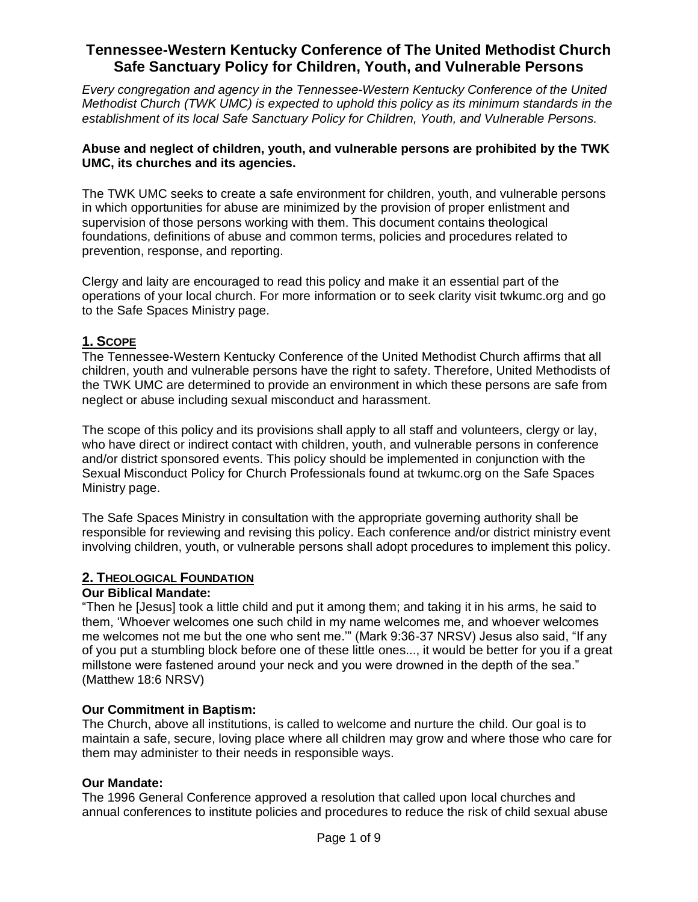*Every congregation and agency in the Tennessee-Western Kentucky Conference of the United Methodist Church (TWK UMC) is expected to uphold this policy as its minimum standards in the establishment of its local Safe Sanctuary Policy for Children, Youth, and Vulnerable Persons.* 

#### **Abuse and neglect of children, youth, and vulnerable persons are prohibited by the TWK UMC, its churches and its agencies.**

The TWK UMC seeks to create a safe environment for children, youth, and vulnerable persons in which opportunities for abuse are minimized by the provision of proper enlistment and supervision of those persons working with them. This document contains theological foundations, definitions of abuse and common terms, policies and procedures related to prevention, response, and reporting.

Clergy and laity are encouraged to read this policy and make it an essential part of the operations of your local church. For more information or to seek clarity visit twkumc.org and go to the Safe Spaces Ministry page.

### **1. SCOPE**

The Tennessee-Western Kentucky Conference of the United Methodist Church affirms that all children, youth and vulnerable persons have the right to safety. Therefore, United Methodists of the TWK UMC are determined to provide an environment in which these persons are safe from neglect or abuse including sexual misconduct and harassment.

The scope of this policy and its provisions shall apply to all staff and volunteers, clergy or lay, who have direct or indirect contact with children, youth, and vulnerable persons in conference and/or district sponsored events. This policy should be implemented in conjunction with the Sexual Misconduct Policy for Church Professionals found at twkumc.org on the Safe Spaces Ministry page.

The Safe Spaces Ministry in consultation with the appropriate governing authority shall be responsible for reviewing and revising this policy. Each conference and/or district ministry event involving children, youth, or vulnerable persons shall adopt procedures to implement this policy.

#### **2. THEOLOGICAL FOUNDATION**

#### **Our Biblical Mandate:**

"Then he [Jesus] took a little child and put it among them; and taking it in his arms, he said to them, 'Whoever welcomes one such child in my name welcomes me, and whoever welcomes me welcomes not me but the one who sent me.'" (Mark 9:36-37 NRSV) Jesus also said, "If any of you put a stumbling block before one of these little ones..., it would be better for you if a great millstone were fastened around your neck and you were drowned in the depth of the sea." (Matthew 18:6 NRSV)

#### **Our Commitment in Baptism:**

The Church, above all institutions, is called to welcome and nurture the child. Our goal is to maintain a safe, secure, loving place where all children may grow and where those who care for them may administer to their needs in responsible ways.

#### **Our Mandate:**

The 1996 General Conference approved a resolution that called upon local churches and annual conferences to institute policies and procedures to reduce the risk of child sexual abuse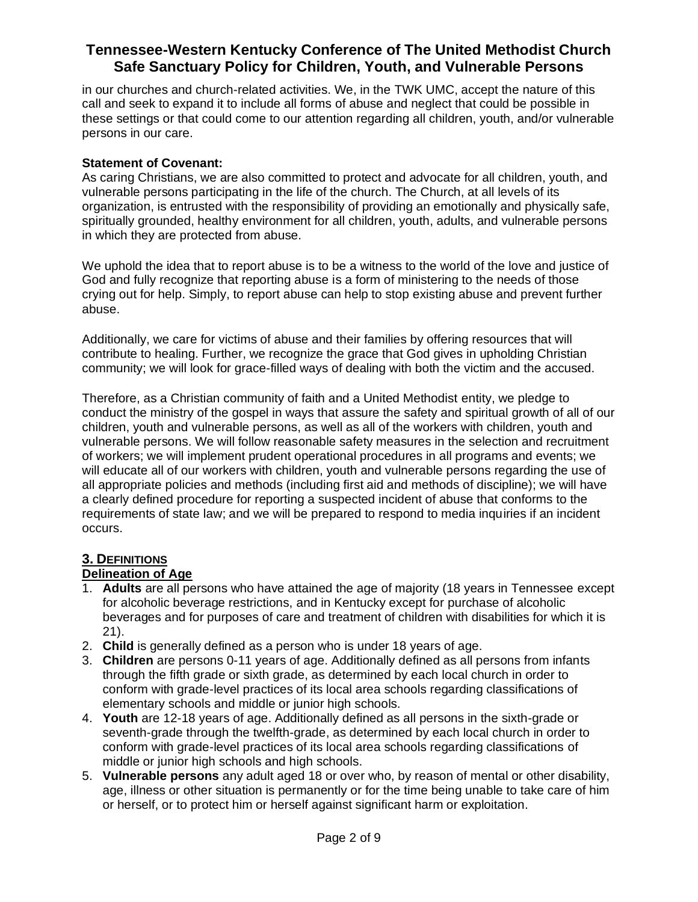in our churches and church-related activities. We, in the TWK UMC, accept the nature of this call and seek to expand it to include all forms of abuse and neglect that could be possible in these settings or that could come to our attention regarding all children, youth, and/or vulnerable persons in our care.

#### **Statement of Covenant:**

As caring Christians, we are also committed to protect and advocate for all children, youth, and vulnerable persons participating in the life of the church. The Church, at all levels of its organization, is entrusted with the responsibility of providing an emotionally and physically safe, spiritually grounded, healthy environment for all children, youth, adults, and vulnerable persons in which they are protected from abuse.

We uphold the idea that to report abuse is to be a witness to the world of the love and justice of God and fully recognize that reporting abuse is a form of ministering to the needs of those crying out for help. Simply, to report abuse can help to stop existing abuse and prevent further abuse.

Additionally, we care for victims of abuse and their families by offering resources that will contribute to healing. Further, we recognize the grace that God gives in upholding Christian community; we will look for grace-filled ways of dealing with both the victim and the accused.

Therefore, as a Christian community of faith and a United Methodist entity, we pledge to conduct the ministry of the gospel in ways that assure the safety and spiritual growth of all of our children, youth and vulnerable persons, as well as all of the workers with children, youth and vulnerable persons. We will follow reasonable safety measures in the selection and recruitment of workers; we will implement prudent operational procedures in all programs and events; we will educate all of our workers with children, youth and vulnerable persons regarding the use of all appropriate policies and methods (including first aid and methods of discipline); we will have a clearly defined procedure for reporting a suspected incident of abuse that conforms to the requirements of state law; and we will be prepared to respond to media inquiries if an incident occurs.

## **3. DEFINITIONS**

### **Delineation of Age**

- 1. **Adults** are all persons who have attained the age of majority (18 years in Tennessee except for alcoholic beverage restrictions, and in Kentucky except for purchase of alcoholic beverages and for purposes of care and treatment of children with disabilities for which it is 21).
- 2. **Child** is generally defined as a person who is under 18 years of age.
- 3. **Children** are persons 0-11 years of age. Additionally defined as all persons from infants through the fifth grade or sixth grade, as determined by each local church in order to conform with grade-level practices of its local area schools regarding classifications of elementary schools and middle or junior high schools.
- 4. **Youth** are 12-18 years of age. Additionally defined as all persons in the sixth-grade or seventh-grade through the twelfth-grade, as determined by each local church in order to conform with grade-level practices of its local area schools regarding classifications of middle or junior high schools and high schools.
- 5. **Vulnerable persons** any adult aged 18 or over who, by reason of mental or other disability, age, illness or other situation is permanently or for the time being unable to take care of him or herself, or to protect him or herself against significant harm or exploitation.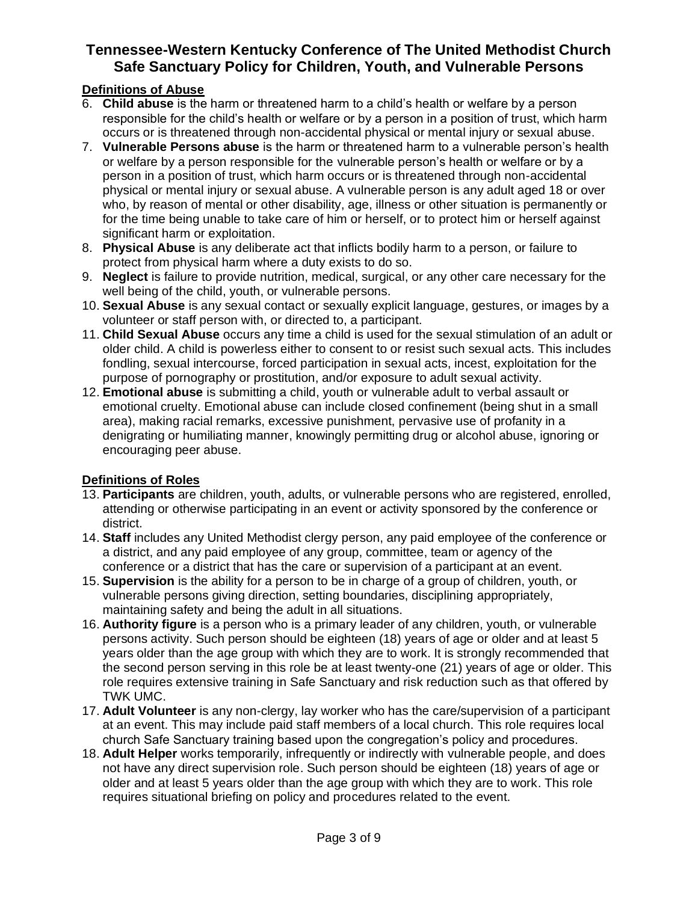### **Definitions of Abuse**

- 6. **Child abuse** is the harm or threatened harm to a child's health or welfare by a person responsible for the child's health or welfare or by a person in a position of trust, which harm occurs or is threatened through non-accidental physical or mental injury or sexual abuse.
- 7. **Vulnerable Persons abuse** is the harm or threatened harm to a vulnerable person's health or welfare by a person responsible for the vulnerable person's health or welfare or by a person in a position of trust, which harm occurs or is threatened through non-accidental physical or mental injury or sexual abuse. A vulnerable person is any adult aged 18 or over who, by reason of mental or other disability, age, illness or other situation is permanently or for the time being unable to take care of him or herself, or to protect him or herself against significant harm or exploitation.
- 8. **Physical Abuse** is any deliberate act that inflicts bodily harm to a person, or failure to protect from physical harm where a duty exists to do so.
- 9. **Neglect** is failure to provide nutrition, medical, surgical, or any other care necessary for the well being of the child, youth, or vulnerable persons.
- 10. **Sexual Abuse** is any sexual contact or sexually explicit language, gestures, or images by a volunteer or staff person with, or directed to, a participant.
- 11. **Child Sexual Abuse** occurs any time a child is used for the sexual stimulation of an adult or older child. A child is powerless either to consent to or resist such sexual acts. This includes fondling, sexual intercourse, forced participation in sexual acts, incest, exploitation for the purpose of pornography or prostitution, and/or exposure to adult sexual activity.
- 12. **Emotional abuse** is submitting a child, youth or vulnerable adult to verbal assault or emotional cruelty. Emotional abuse can include closed confinement (being shut in a small area), making racial remarks, excessive punishment, pervasive use of profanity in a denigrating or humiliating manner, knowingly permitting drug or alcohol abuse, ignoring or encouraging peer abuse.

## **Definitions of Roles**

- 13. **Participants** are children, youth, adults, or vulnerable persons who are registered, enrolled, attending or otherwise participating in an event or activity sponsored by the conference or district.
- 14. **Staff** includes any United Methodist clergy person, any paid employee of the conference or a district, and any paid employee of any group, committee, team or agency of the conference or a district that has the care or supervision of a participant at an event.
- 15. **Supervision** is the ability for a person to be in charge of a group of children, youth, or vulnerable persons giving direction, setting boundaries, disciplining appropriately, maintaining safety and being the adult in all situations.
- 16. **Authority figure** is a person who is a primary leader of any children, youth, or vulnerable persons activity. Such person should be eighteen (18) years of age or older and at least 5 years older than the age group with which they are to work. It is strongly recommended that the second person serving in this role be at least twenty-one (21) years of age or older. This role requires extensive training in Safe Sanctuary and risk reduction such as that offered by TWK UMC.
- 17. **Adult Volunteer** is any non-clergy, lay worker who has the care/supervision of a participant at an event. This may include paid staff members of a local church. This role requires local church Safe Sanctuary training based upon the congregation's policy and procedures.
- 18. **Adult Helper** works temporarily, infrequently or indirectly with vulnerable people, and does not have any direct supervision role. Such person should be eighteen (18) years of age or older and at least 5 years older than the age group with which they are to work. This role requires situational briefing on policy and procedures related to the event.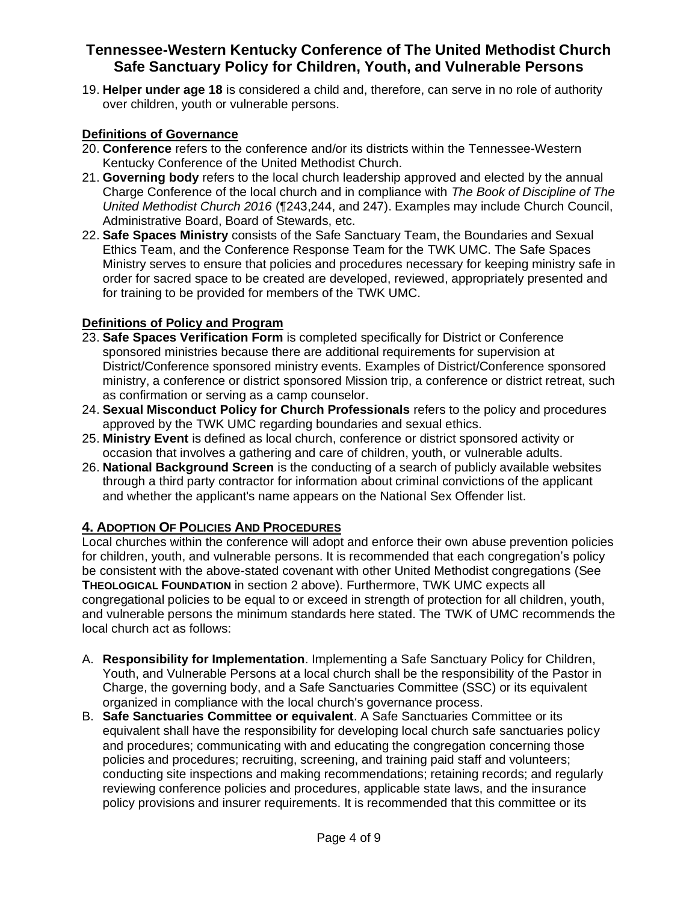19. **Helper under age 18** is considered a child and, therefore, can serve in no role of authority over children, youth or vulnerable persons.

## **Definitions of Governance**

- 20. **Conference** refers to the conference and/or its districts within the Tennessee-Western Kentucky Conference of the United Methodist Church.
- 21. **Governing body** refers to the local church leadership approved and elected by the annual Charge Conference of the local church and in compliance with *The Book of Discipline of The United Methodist Church 2016* (¶243,244, and 247). Examples may include Church Council, Administrative Board, Board of Stewards, etc.
- 22. **Safe Spaces Ministry** consists of the Safe Sanctuary Team, the Boundaries and Sexual Ethics Team, and the Conference Response Team for the TWK UMC. The Safe Spaces Ministry serves to ensure that policies and procedures necessary for keeping ministry safe in order for sacred space to be created are developed, reviewed, appropriately presented and for training to be provided for members of the TWK UMC.

### **Definitions of Policy and Program**

- 23. **Safe Spaces Verification Form** is completed specifically for District or Conference sponsored ministries because there are additional requirements for supervision at District/Conference sponsored ministry events. Examples of District/Conference sponsored ministry, a conference or district sponsored Mission trip, a conference or district retreat, such as confirmation or serving as a camp counselor.
- 24. **Sexual Misconduct Policy for Church Professionals** refers to the policy and procedures approved by the TWK UMC regarding boundaries and sexual ethics.
- 25. **Ministry Event** is defined as local church, conference or district sponsored activity or occasion that involves a gathering and care of children, youth, or vulnerable adults.
- 26. **National Background Screen** is the conducting of a search of publicly available websites through a third party contractor for information about criminal convictions of the applicant and whether the applicant's name appears on the National Sex Offender list.

### **4. ADOPTION OF POLICIES AND PROCEDURES**

Local churches within the conference will adopt and enforce their own abuse prevention policies for children, youth, and vulnerable persons. It is recommended that each congregation's policy be consistent with the above-stated covenant with other United Methodist congregations (See **THEOLOGICAL FOUNDATION** in section 2 above). Furthermore, TWK UMC expects all congregational policies to be equal to or exceed in strength of protection for all children, youth, and vulnerable persons the minimum standards here stated. The TWK of UMC recommends the local church act as follows:

- A. **Responsibility for Implementation**. Implementing a Safe Sanctuary Policy for Children, Youth, and Vulnerable Persons at a local church shall be the responsibility of the Pastor in Charge, the governing body, and a Safe Sanctuaries Committee (SSC) or its equivalent organized in compliance with the local church's governance process.
- B. **Safe Sanctuaries Committee or equivalent**. A Safe Sanctuaries Committee or its equivalent shall have the responsibility for developing local church safe sanctuaries policy and procedures; communicating with and educating the congregation concerning those policies and procedures; recruiting, screening, and training paid staff and volunteers; conducting site inspections and making recommendations; retaining records; and regularly reviewing conference policies and procedures, applicable state laws, and the insurance policy provisions and insurer requirements. It is recommended that this committee or its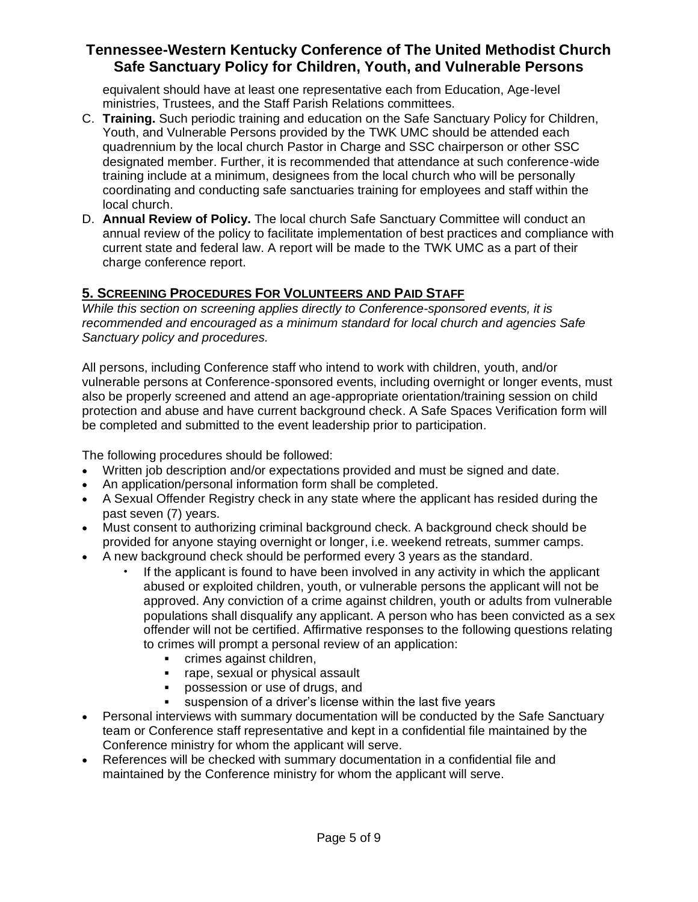equivalent should have at least one representative each from Education, Age-level ministries, Trustees, and the Staff Parish Relations committees.

- C. **Training.** Such periodic training and education on the Safe Sanctuary Policy for Children, Youth, and Vulnerable Persons provided by the TWK UMC should be attended each quadrennium by the local church Pastor in Charge and SSC chairperson or other SSC designated member. Further, it is recommended that attendance at such conference-wide training include at a minimum, designees from the local church who will be personally coordinating and conducting safe sanctuaries training for employees and staff within the local church.
- D. **Annual Review of Policy.** The local church Safe Sanctuary Committee will conduct an annual review of the policy to facilitate implementation of best practices and compliance with current state and federal law. A report will be made to the TWK UMC as a part of their charge conference report.

## **5. SCREENING PROCEDURES FOR VOLUNTEERS AND PAID STAFF**

*While this section on screening applies directly to Conference-sponsored events, it is recommended and encouraged as a minimum standard for local church and agencies Safe Sanctuary policy and procedures.*

All persons, including Conference staff who intend to work with children, youth, and/or vulnerable persons at Conference-sponsored events, including overnight or longer events, must also be properly screened and attend an age-appropriate orientation/training session on child protection and abuse and have current background check. A Safe Spaces Verification form will be completed and submitted to the event leadership prior to participation.

The following procedures should be followed:

- Written job description and/or expectations provided and must be signed and date.
- An application/personal information form shall be completed.
- A Sexual Offender Registry check in any state where the applicant has resided during the past seven (7) years.
- Must consent to authorizing criminal background check. A background check should be provided for anyone staying overnight or longer, i.e. weekend retreats, summer camps.
- A new background check should be performed every 3 years as the standard.
	- If the applicant is found to have been involved in any activity in which the applicant abused or exploited children, youth, or vulnerable persons the applicant will not be approved. Any conviction of a crime against children, youth or adults from vulnerable populations shall disqualify any applicant. A person who has been convicted as a sex offender will not be certified. Affirmative responses to the following questions relating to crimes will prompt a personal review of an application:
		- **•** crimes against children,
		- rape, sexual or physical assault
		- possession or use of drugs, and
		- **Example 1** suspension of a driver's license within the last five years
- Personal interviews with summary documentation will be conducted by the Safe Sanctuary team or Conference staff representative and kept in a confidential file maintained by the Conference ministry for whom the applicant will serve.
- References will be checked with summary documentation in a confidential file and maintained by the Conference ministry for whom the applicant will serve.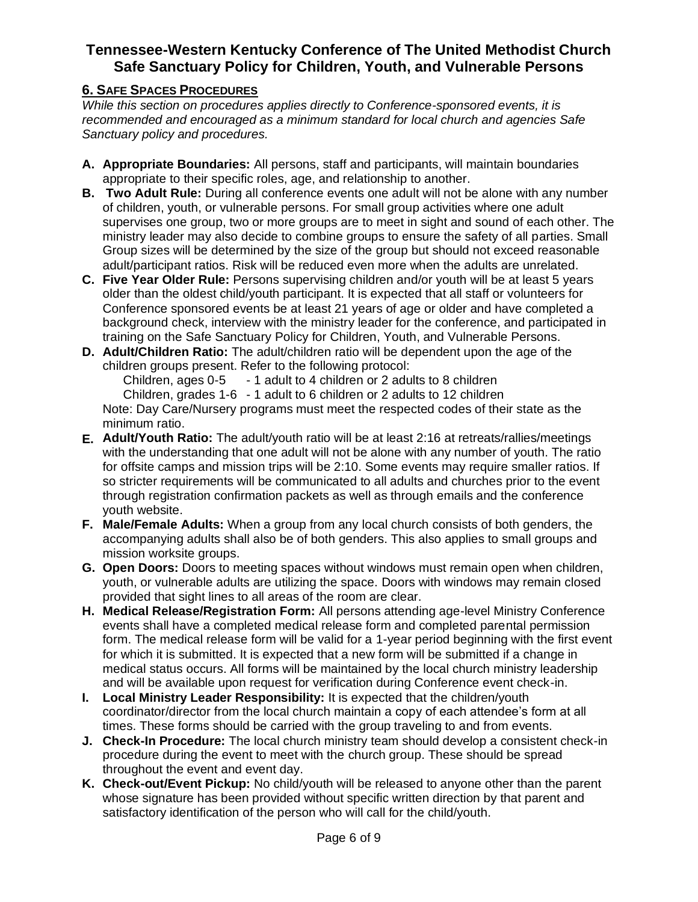## **6. SAFE SPACES PROCEDURES**

*While this section on procedures applies directly to Conference-sponsored events, it is recommended and encouraged as a minimum standard for local church and agencies Safe Sanctuary policy and procedures.*

- **A. Appropriate Boundaries:** All persons, staff and participants, will maintain boundaries appropriate to their specific roles, age, and relationship to another.
- **B. Two Adult Rule:** During all conference events one adult will not be alone with any number of children, youth, or vulnerable persons. For small group activities where one adult supervises one group, two or more groups are to meet in sight and sound of each other. The ministry leader may also decide to combine groups to ensure the safety of all parties. Small Group sizes will be determined by the size of the group but should not exceed reasonable adult/participant ratios. Risk will be reduced even more when the adults are unrelated.
- **C. Five Year Older Rule:** Persons supervising children and/or youth will be at least 5 years older than the oldest child/youth participant. It is expected that all staff or volunteers for Conference sponsored events be at least 21 years of age or older and have completed a background check, interview with the ministry leader for the conference, and participated in training on the Safe Sanctuary Policy for Children, Youth, and Vulnerable Persons.
- **D. Adult/Children Ratio:** The adult/children ratio will be dependent upon the age of the children groups present. Refer to the following protocol:

Children, ages 0-5 - 1 adult to 4 children or 2 adults to 8 children Children, grades 1-6 - 1 adult to 6 children or 2 adults to 12 children Note: Day Care/Nursery programs must meet the respected codes of their state as the minimum ratio.

- **E. Adult/Youth Ratio:** The adult/youth ratio will be at least 2:16 at retreats/rallies/meetings with the understanding that one adult will not be alone with any number of youth. The ratio for offsite camps and mission trips will be 2:10. Some events may require smaller ratios. If so stricter requirements will be communicated to all adults and churches prior to the event through registration confirmation packets as well as through emails and the conference youth website.
- **F. Male/Female Adults:** When a group from any local church consists of both genders, the accompanying adults shall also be of both genders. This also applies to small groups and mission worksite groups.
- **G. Open Doors:** Doors to meeting spaces without windows must remain open when children, youth, or vulnerable adults are utilizing the space. Doors with windows may remain closed provided that sight lines to all areas of the room are clear.
- **H. Medical Release/Registration Form:** All persons attending age-level Ministry Conference events shall have a completed medical release form and completed parental permission form. The medical release form will be valid for a 1-year period beginning with the first event for which it is submitted. It is expected that a new form will be submitted if a change in medical status occurs. All forms will be maintained by the local church ministry leadership and will be available upon request for verification during Conference event check-in.
- **I. Local Ministry Leader Responsibility:** It is expected that the children/youth coordinator/director from the local church maintain a copy of each attendee's form at all times. These forms should be carried with the group traveling to and from events.
- **J. Check-In Procedure:** The local church ministry team should develop a consistent check-in procedure during the event to meet with the church group. These should be spread throughout the event and event day.
- **K. Check-out/Event Pickup:** No child/youth will be released to anyone other than the parent whose signature has been provided without specific written direction by that parent and satisfactory identification of the person who will call for the child/youth.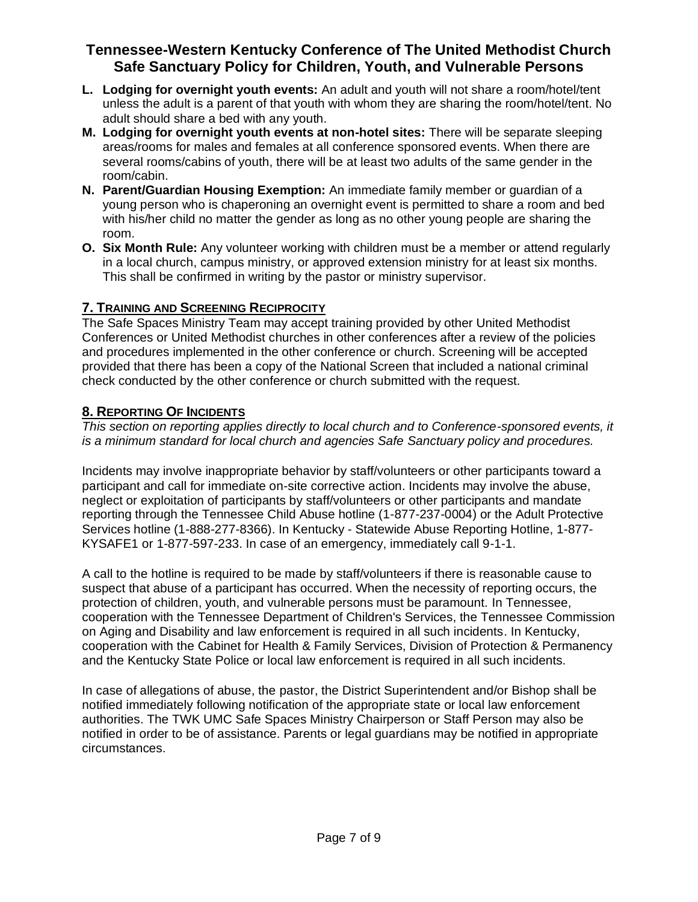- **L. Lodging for overnight youth events:** An adult and youth will not share a room/hotel/tent unless the adult is a parent of that youth with whom they are sharing the room/hotel/tent. No adult should share a bed with any youth.
- **M. Lodging for overnight youth events at non-hotel sites:** There will be separate sleeping areas/rooms for males and females at all conference sponsored events. When there are several rooms/cabins of youth, there will be at least two adults of the same gender in the room/cabin.
- **N. Parent/Guardian Housing Exemption:** An immediate family member or guardian of a young person who is chaperoning an overnight event is permitted to share a room and bed with his/her child no matter the gender as long as no other young people are sharing the room.
- **O. Six Month Rule:** Any volunteer working with children must be a member or attend regularly in a local church, campus ministry, or approved extension ministry for at least six months. This shall be confirmed in writing by the pastor or ministry supervisor.

### **7. TRAINING AND SCREENING RECIPROCITY**

The Safe Spaces Ministry Team may accept training provided by other United Methodist Conferences or United Methodist churches in other conferences after a review of the policies and procedures implemented in the other conference or church. Screening will be accepted provided that there has been a copy of the National Screen that included a national criminal check conducted by the other conference or church submitted with the request.

## **8. REPORTING OF INCIDENTS**

*This section on reporting applies directly to local church and to Conference-sponsored events, it is a minimum standard for local church and agencies Safe Sanctuary policy and procedures.*

Incidents may involve inappropriate behavior by staff/volunteers or other participants toward a participant and call for immediate on-site corrective action. Incidents may involve the abuse, neglect or exploitation of participants by staff/volunteers or other participants and mandate reporting through the Tennessee Child Abuse hotline (1-877-237-0004) or the Adult Protective Services hotline (1-888-277-8366). In Kentucky - Statewide Abuse Reporting Hotline, 1-877- KYSAFE1 or 1-877-597-233. In case of an emergency, immediately call 9-1-1.

A call to the hotline is required to be made by staff/volunteers if there is reasonable cause to suspect that abuse of a participant has occurred. When the necessity of reporting occurs, the protection of children, youth, and vulnerable persons must be paramount. In Tennessee, cooperation with the Tennessee Department of Children's Services, the Tennessee Commission on Aging and Disability and law enforcement is required in all such incidents. In Kentucky, cooperation with the Cabinet for Health & Family Services, Division of Protection & Permanency and the Kentucky State Police or local law enforcement is required in all such incidents.

In case of allegations of abuse, the pastor, the District Superintendent and/or Bishop shall be notified immediately following notification of the appropriate state or local law enforcement authorities. The TWK UMC Safe Spaces Ministry Chairperson or Staff Person may also be notified in order to be of assistance. Parents or legal guardians may be notified in appropriate circumstances.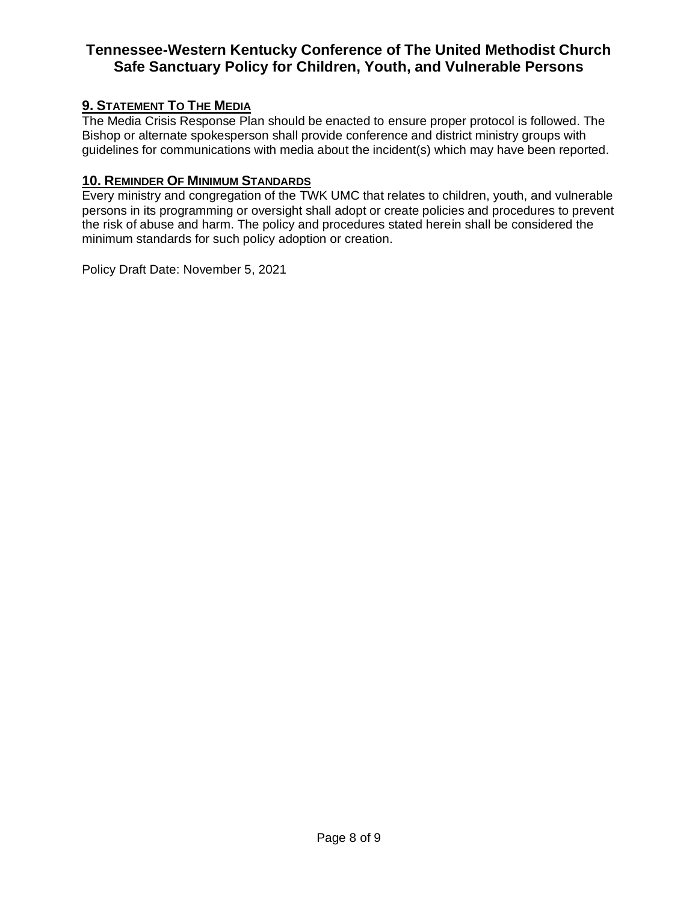## **9. STATEMENT TO THE MEDIA**

The Media Crisis Response Plan should be enacted to ensure proper protocol is followed. The Bishop or alternate spokesperson shall provide conference and district ministry groups with guidelines for communications with media about the incident(s) which may have been reported.

### **10. REMINDER OF MINIMUM STANDARDS**

Every ministry and congregation of the TWK UMC that relates to children, youth, and vulnerable persons in its programming or oversight shall adopt or create policies and procedures to prevent the risk of abuse and harm. The policy and procedures stated herein shall be considered the minimum standards for such policy adoption or creation.

Policy Draft Date: November 5, 2021